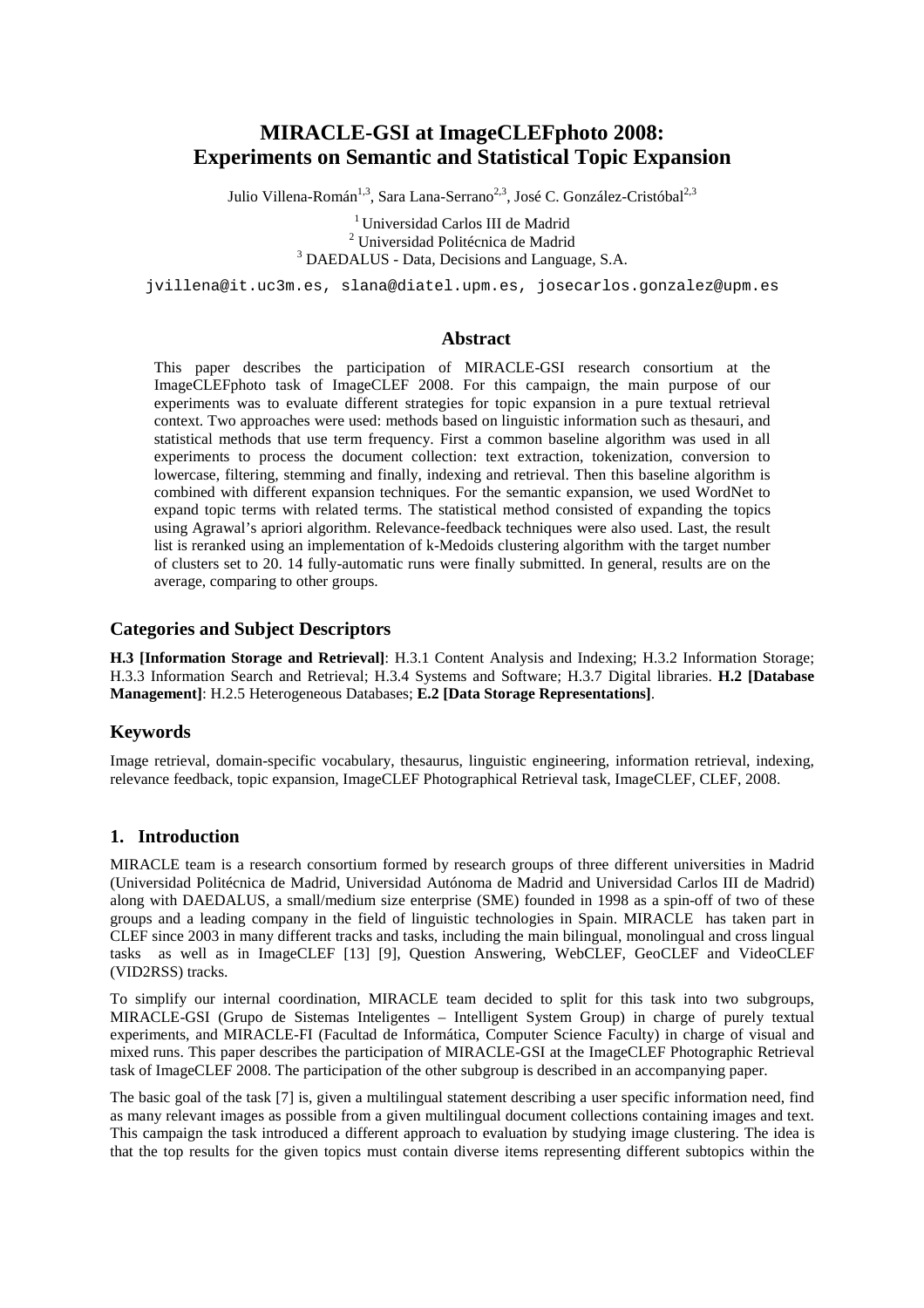# **MIRACLE-GSI at ImageCLEFphoto 2008: Experiments on Semantic and Statistical Topic Expansion**

Julio Villena-Román<sup>1,3</sup>, Sara Lana-Serrano<sup>2,3</sup>, José C. González-Cristóbal<sup>2,3</sup>

<sup>1</sup>Universidad Carlos III de Madrid 2 Universidad Politécnica de Madrid <sup>3</sup> DAEDALUS - Data, Decisions and Language, S.A.

jvillena@it.uc3m.es, slana@diatel.upm.es, josecarlos.gonzalez@upm.es

#### **Abstract**

This paper describes the participation of MIRACLE-GSI research consortium at the ImageCLEFphoto task of ImageCLEF 2008. For this campaign, the main purpose of our experiments was to evaluate different strategies for topic expansion in a pure textual retrieval context. Two approaches were used: methods based on linguistic information such as thesauri, and statistical methods that use term frequency. First a common baseline algorithm was used in all experiments to process the document collection: text extraction, tokenization, conversion to lowercase, filtering, stemming and finally, indexing and retrieval. Then this baseline algorithm is combined with different expansion techniques. For the semantic expansion, we used WordNet to expand topic terms with related terms. The statistical method consisted of expanding the topics using Agrawal's apriori algorithm. Relevance-feedback techniques were also used. Last, the result list is reranked using an implementation of k-Medoids clustering algorithm with the target number of clusters set to 20. 14 fully-automatic runs were finally submitted. In general, results are on the average, comparing to other groups.

## **Categories and Subject Descriptors**

**H.3 [Information Storage and Retrieval]**: H.3.1 Content Analysis and Indexing; H.3.2 Information Storage; H.3.3 Information Search and Retrieval; H.3.4 Systems and Software; H.3.7 Digital libraries. **H.2 [Database Management]**: H.2.5 Heterogeneous Databases; **E.2 [Data Storage Representations]**.

# **Keywords**

Image retrieval, domain-specific vocabulary, thesaurus, linguistic engineering, information retrieval, indexing, relevance feedback, topic expansion, ImageCLEF Photographical Retrieval task, ImageCLEF, CLEF, 2008.

#### **1. Introduction**

MIRACLE team is a research consortium formed by research groups of three different universities in Madrid (Universidad Politécnica de Madrid, Universidad Autónoma de Madrid and Universidad Carlos III de Madrid) along with DAEDALUS, a small/medium size enterprise (SME) founded in 1998 as a spin-off of two of these groups and a leading company in the field of linguistic technologies in Spain. MIRACLE has taken part in CLEF since 2003 in many different tracks and tasks, including the main bilingual, monolingual and cross lingual tasks as well as in ImageCLEF [13] [9], Question Answering, WebCLEF, GeoCLEF and VideoCLEF (VID2RSS) tracks.

To simplify our internal coordination, MIRACLE team decided to split for this task into two subgroups, MIRACLE-GSI (Grupo de Sistemas Inteligentes – Intelligent System Group) in charge of purely textual experiments, and MIRACLE-FI (Facultad de Informática, Computer Science Faculty) in charge of visual and mixed runs. This paper describes the participation of MIRACLE-GSI at the ImageCLEF Photographic Retrieval task of ImageCLEF 2008. The participation of the other subgroup is described in an accompanying paper.

The basic goal of the task [7] is, given a multilingual statement describing a user specific information need, find as many relevant images as possible from a given multilingual document collections containing images and text. This campaign the task introduced a different approach to evaluation by studying image clustering. The idea is that the top results for the given topics must contain diverse items representing different subtopics within the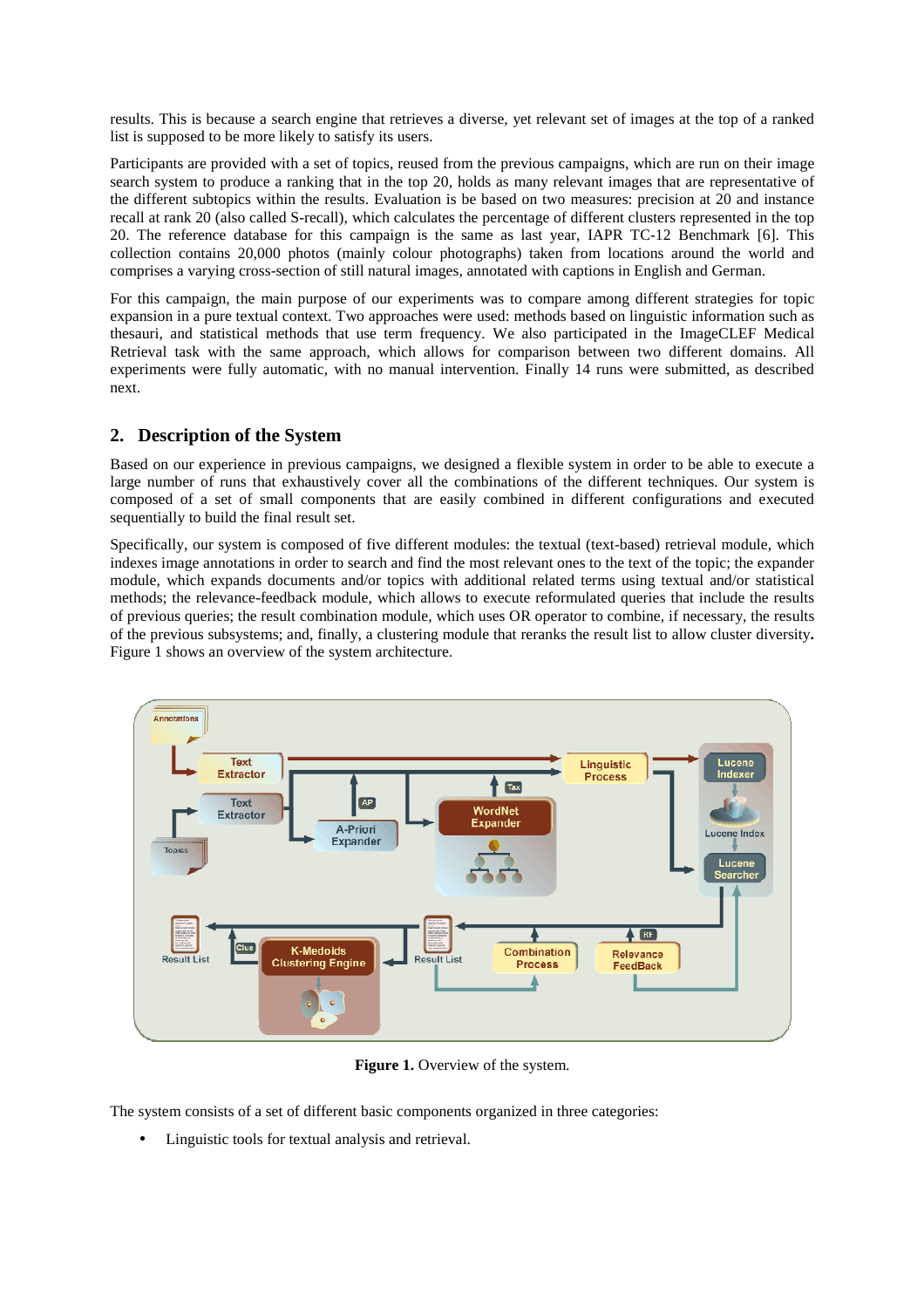results. This is because a search engine that retrieves a diverse, yet relevant set of images at the top of a ranked list is supposed to be more likely to satisfy its users.

Participants are provided with a set of topics, reused from the previous campaigns, which are run on their image search system to produce a ranking that in the top 20, holds as many relevant images that are representative of the different subtopics within the results. Evaluation is be based on two measures: precision at 20 and instance recall at rank 20 (also called S-recall), which calculates the percentage of different clusters represented in the top 20. The reference database for this campaign is the same as last year, IAPR TC-12 Benchmark [6]. This collection contains 20,000 photos (mainly colour photographs) taken from locations around the world and comprises a varying cross-section of still natural images, annotated with captions in English and German.

For this campaign, the main purpose of our experiments was to compare among different strategies for topic expansion in a pure textual context. Two approaches were used: methods based on linguistic information such as thesauri, and statistical methods that use term frequency. We also participated in the ImageCLEF Medical Retrieval task with the same approach, which allows for comparison between two different domains. All experiments were fully automatic, with no manual intervention. Finally 14 runs were submitted, as described next.

# **2. Description of the System**

Based on our experience in previous campaigns, we designed a flexible system in order to be able to execute a large number of runs that exhaustively cover all the combinations of the different techniques. Our system is composed of a set of small components that are easily combined in different configurations and executed sequentially to build the final result set.

Specifically, our system is composed of five different modules: the textual (text-based) retrieval module, which indexes image annotations in order to search and find the most relevant ones to the text of the topic; the expander module, which expands documents and/or topics with additional related terms using textual and/or statistical methods; the relevance-feedback module, which allows to execute reformulated queries that include the results of previous queries; the result combination module, which uses OR operator to combine, if necessary, the results of the previous subsystems; and, finally, a clustering module that reranks the result list to allow cluster diversity**.**  Figure 1 shows an overview of the system architecture.



**Figure 1.** Overview of the system.

The system consists of a set of different basic components organized in three categories:

• Linguistic tools for textual analysis and retrieval.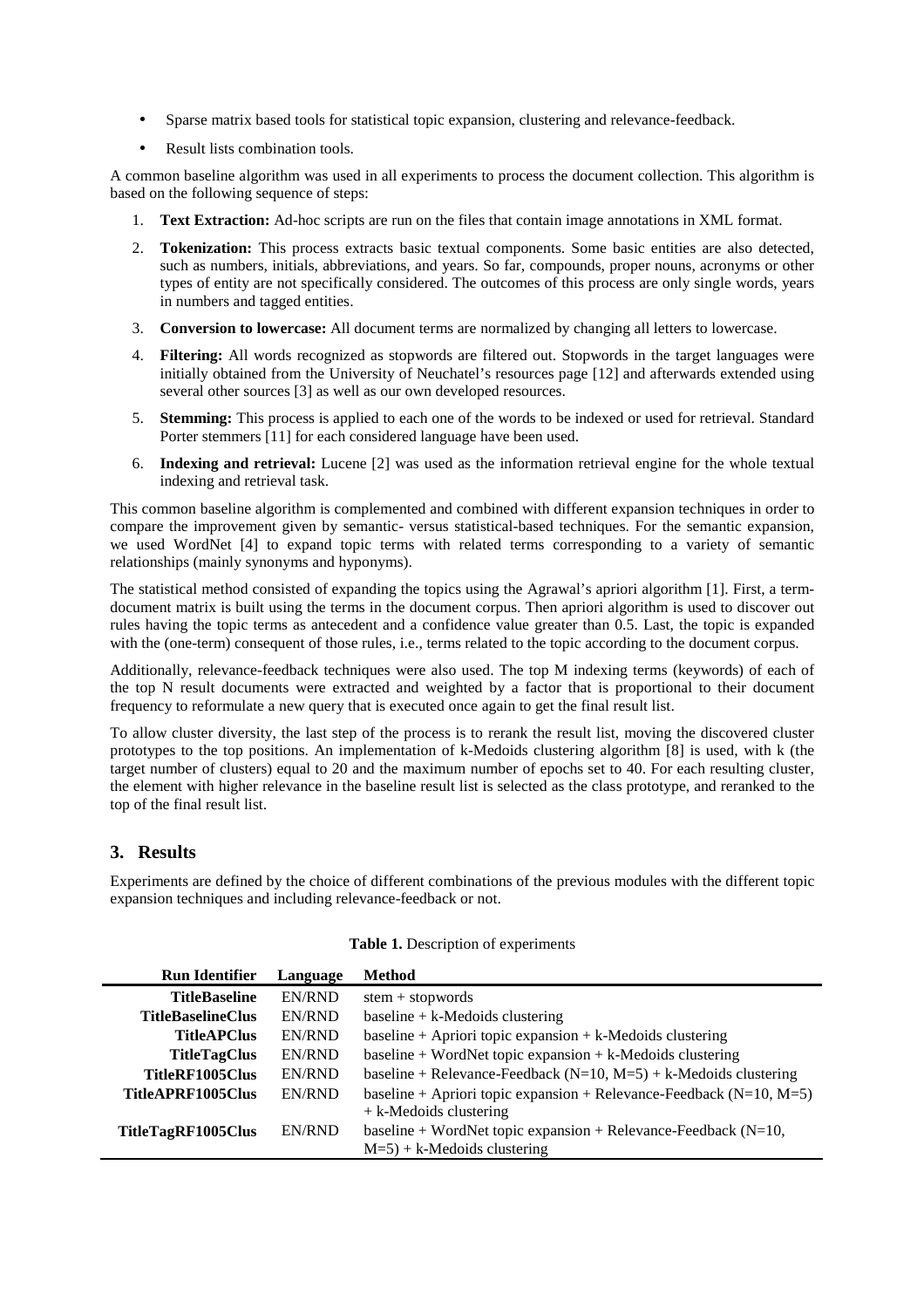- Sparse matrix based tools for statistical topic expansion, clustering and relevance-feedback.
- Result lists combination tools.

A common baseline algorithm was used in all experiments to process the document collection. This algorithm is based on the following sequence of steps:

- 1. **Text Extraction:** Ad-hoc scripts are run on the files that contain image annotations in XML format.
- 2. **Tokenization:** This process extracts basic textual components. Some basic entities are also detected, such as numbers, initials, abbreviations, and years. So far, compounds, proper nouns, acronyms or other types of entity are not specifically considered. The outcomes of this process are only single words, years in numbers and tagged entities.
- 3. **Conversion to lowercase:** All document terms are normalized by changing all letters to lowercase.
- 4. **Filtering:** All words recognized as stopwords are filtered out. Stopwords in the target languages were initially obtained from the University of Neuchatel's resources page [12] and afterwards extended using several other sources [3] as well as our own developed resources.
- 5. **Stemming:** This process is applied to each one of the words to be indexed or used for retrieval. Standard Porter stemmers [11] for each considered language have been used.
- 6. **Indexing and retrieval:** Lucene [2] was used as the information retrieval engine for the whole textual indexing and retrieval task.

This common baseline algorithm is complemented and combined with different expansion techniques in order to compare the improvement given by semantic- versus statistical-based techniques. For the semantic expansion, we used WordNet [4] to expand topic terms with related terms corresponding to a variety of semantic relationships (mainly synonyms and hyponyms).

The statistical method consisted of expanding the topics using the Agrawal's apriori algorithm [1]. First, a termdocument matrix is built using the terms in the document corpus. Then apriori algorithm is used to discover out rules having the topic terms as antecedent and a confidence value greater than 0.5. Last, the topic is expanded with the (one-term) consequent of those rules, i.e., terms related to the topic according to the document corpus.

Additionally, relevance-feedback techniques were also used. The top M indexing terms (keywords) of each of the top N result documents were extracted and weighted by a factor that is proportional to their document frequency to reformulate a new query that is executed once again to get the final result list.

To allow cluster diversity, the last step of the process is to rerank the result list, moving the discovered cluster prototypes to the top positions. An implementation of k-Medoids clustering algorithm [8] is used, with k (the target number of clusters) equal to 20 and the maximum number of epochs set to 40. For each resulting cluster, the element with higher relevance in the baseline result list is selected as the class prototype, and reranked to the top of the final result list.

# **3. Results**

Experiments are defined by the choice of different combinations of the previous modules with the different topic expansion techniques and including relevance-feedback or not.

| <b>Run Identifier</b>    | Language | <b>Method</b>                                                                                           |
|--------------------------|----------|---------------------------------------------------------------------------------------------------------|
| <b>TitleBaseline</b>     | EN/RND   | $stem + stopwords$                                                                                      |
| <b>TitleBaselineClus</b> | EN/RND   | baseline $+ k$ -Medoids clustering                                                                      |
| <b>TitleAPClus</b>       | EN/RND   | baseline + Apriori topic expansion + $k$ -Medoids clustering                                            |
| <b>TitleTagClus</b>      | EN/RND   | $baseline + WordNet topic expansion + k-Medoids clustering$                                             |
| TitleRF1005Clus          | EN/RND   | baseline + Relevance-Feedback ( $N=10$ , $M=5$ ) + k-Medoids clustering                                 |
| TitleAPRF1005Clus        | EN/RND   | baseline + Apriori topic expansion + Relevance-Feedback ( $N=10$ , $M=5$ )<br>$+ k$ -Medoids clustering |
| TitleTagRF1005Clus       | EN/RND   | baseline + WordNet topic expansion + Relevance-Feedback ( $N=10$ ,<br>$M=5$ ) + k-Medoids clustering    |

#### **Table 1.** Description of experiments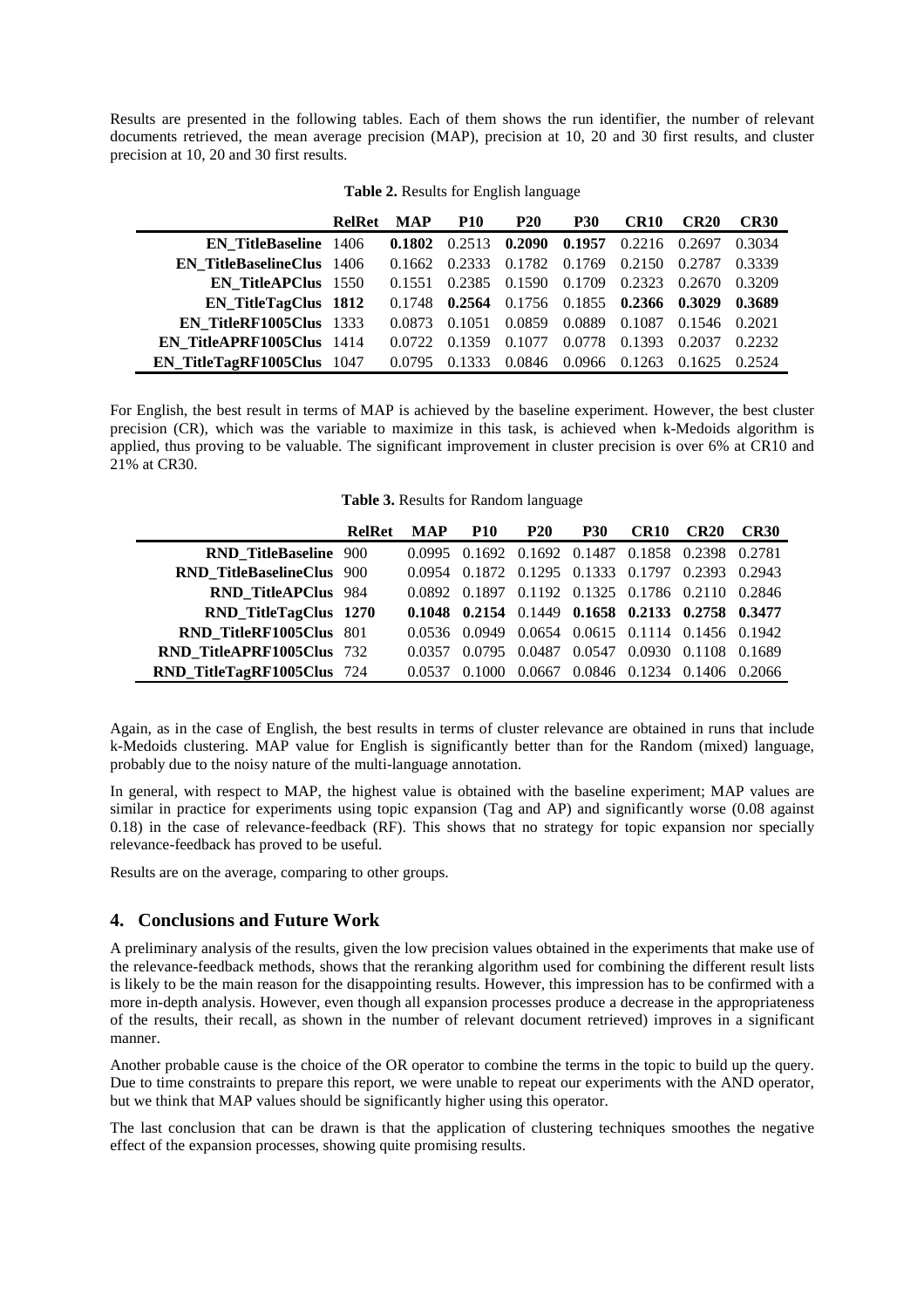Results are presented in the following tables. Each of them shows the run identifier, the number of relevant documents retrieved, the mean average precision (MAP), precision at 10, 20 and 30 first results, and cluster precision at 10, 20 and 30 first results.

|                                  | <b>RelRet</b> | <b>MAP</b> | <b>P10</b> | <b>P20</b> | <b>P30</b>    | CR <sub>10</sub> | CR20   | <b>CR30</b> |
|----------------------------------|---------------|------------|------------|------------|---------------|------------------|--------|-------------|
| <b>EN TitleBaseline</b> 1406     |               | 0.1802     | 0.2513     |            | 0.2090 0.1957 | 0.2216           | 0.2697 | 0.3034      |
| <b>EN TitleBaselineClus</b> 1406 |               | 0.1662     | 0.2333     | 0.1782     | 0.1769        | 0.2150           | 0.2787 | 0.3339      |
| <b>EN TitleAPClus</b> 1550       |               | 0.1551     | 0.2385     | 0.1590     | 0.1709        | 0.2323           | 0.2670 | 0.3209      |
| <b>EN TitleTagClus 1812</b>      |               | 0.1748     | 0.2564     | 0.1756     | 0.1855        | 0.2366           | 0.3029 | 0.3689      |
| EN TitleRF1005Clus 1333          |               | 0.0873     | 0.1051     | 0.0859     | 0.0889        | 0.1087           | 0.1546 | 0.2021      |
| <b>EN TitleAPRF1005Clus</b> 1414 |               | 0.0722     | 0.1359     | 0.1077     | 0.0778        | 0.1393           | 0.2037 | 0.2232      |
| EN TitleTagRF1005Clus 1047       |               | 0.0795     | 0.1333     | 0.0846     | 0.0966        | 0.1263           | 0.1625 | 0.2524      |

**Table 2.** Results for English language

For English, the best result in terms of MAP is achieved by the baseline experiment. However, the best cluster precision (CR), which was the variable to maximize in this task, is achieved when k-Medoids algorithm is applied, thus proving to be valuable. The significant improvement in cluster precision is over 6% at CR10 and 21% at CR30.

**Table 3.** Results for Random language

|                                  | <b>RelRet</b> | <b>MAP</b> | <b>P10</b>                                       | <b>P20</b> | <b>P30</b>                  | CR <sub>10</sub> | <b>CR20</b> | <b>CR30</b> |
|----------------------------------|---------------|------------|--------------------------------------------------|------------|-----------------------------|------------------|-------------|-------------|
| <b>RND TitleBaseline 900</b>     |               |            | 0.0995 0.1692 0.1692 0.1487 0.1858 0.2398        |            |                             |                  |             | 0.2781      |
| <b>RND TitleBaselineClus 900</b> |               |            | 0.0954 0.1872 0.1295 0.1333 0.1797 0.2393        |            |                             |                  |             | 0.2943      |
| <b>RND TitleAPClus 984</b>       |               | 0.0892     | 0.1897                                           |            | 0.1192 0.1325 0.1786 0.2110 |                  |             | 0.2846      |
| RND_TitleTagClus 1270            |               |            | 0.1048 0.2154 0.1449 0.1658 0.2133 0.2758 0.3477 |            |                             |                  |             |             |
| RND TitleRF1005Clus 801          |               |            | 0.0536 0.0949 0.0654 0.0615 0.1114 0.1456 0.1942 |            |                             |                  |             |             |
| RND TitleAPRF1005Clus 732        |               | 0.0357     | 0.0795                                           | 0.0487     | 0.0547                      | 0.0930           | 0.1108      | 0.1689      |
| RND_TitleTagRF1005Clus 724       |               | 0.0537     |                                                  | 0.0667     | 0.0846                      | 0.1234           | 0.1406      | 0.2066      |

Again, as in the case of English, the best results in terms of cluster relevance are obtained in runs that include k-Medoids clustering. MAP value for English is significantly better than for the Random (mixed) language, probably due to the noisy nature of the multi-language annotation.

In general, with respect to MAP, the highest value is obtained with the baseline experiment; MAP values are similar in practice for experiments using topic expansion (Tag and AP) and significantly worse (0.08 against 0.18) in the case of relevance-feedback (RF). This shows that no strategy for topic expansion nor specially relevance-feedback has proved to be useful.

Results are on the average, comparing to other groups.

# **4. Conclusions and Future Work**

A preliminary analysis of the results, given the low precision values obtained in the experiments that make use of the relevance-feedback methods, shows that the reranking algorithm used for combining the different result lists is likely to be the main reason for the disappointing results. However, this impression has to be confirmed with a more in-depth analysis. However, even though all expansion processes produce a decrease in the appropriateness of the results, their recall, as shown in the number of relevant document retrieved) improves in a significant manner.

Another probable cause is the choice of the OR operator to combine the terms in the topic to build up the query. Due to time constraints to prepare this report, we were unable to repeat our experiments with the AND operator, but we think that MAP values should be significantly higher using this operator.

The last conclusion that can be drawn is that the application of clustering techniques smoothes the negative effect of the expansion processes, showing quite promising results.